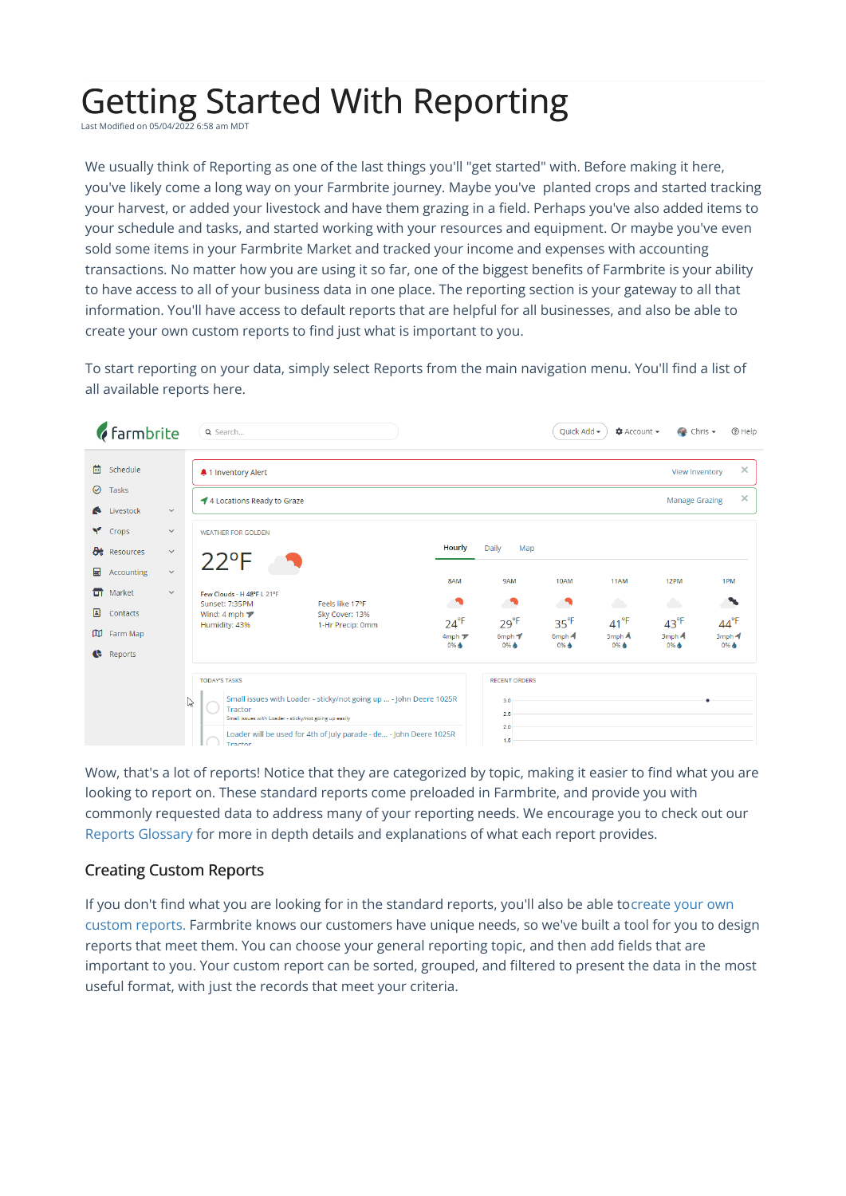## Getting Started With Reporting

Last Modified on 05/04/2022 6:58 am MDT

We usually think of Reporting as one of the last things you'll "get started" with. Before making it here, you've likely come a long way on your Farmbrite journey. Maybe you've planted crops and started tracking your harvest, or added your livestock and have them grazing in a field. Perhaps you've also added items to your schedule and tasks, and started working with your resources and equipment. Or maybe you've even sold some items in your Farmbrite Market and tracked your income and expenses with accounting transactions. No matter how you are using it so far, one of the biggest benefits of Farmbrite is your ability to have access to all of your business data in one place. The reporting section is your gateway to all that information. You'll have access to default reports that are helpful for all businesses, and also be able to create your own custom reports to find just what is important to you.

To start reporting on your data, simply select Reports from the main navigation menu. You'll find a list of all available reports here.

| <b><i>farmbrite</i></b>                                                                                                                                                                            | Q Search                                                                                                                                                                                                                                             |                                                       |                                                                |                                                      | Quick Add -                                | <b>☆</b> Account –                             | $\bullet$ Chris $\bullet$                      | <b>② Help</b>                               |
|----------------------------------------------------------------------------------------------------------------------------------------------------------------------------------------------------|------------------------------------------------------------------------------------------------------------------------------------------------------------------------------------------------------------------------------------------------------|-------------------------------------------------------|----------------------------------------------------------------|------------------------------------------------------|--------------------------------------------|------------------------------------------------|------------------------------------------------|---------------------------------------------|
| 曲<br>Schedule<br>$\odot$<br>Tasks<br>Livestock<br>$\bullet$<br>$\checkmark$                                                                                                                        | 41 Inventory Alert<br>4 Locations Ready to Graze                                                                                                                                                                                                     |                                                       |                                                                |                                                      |                                            |                                                | <b>View Inventory</b><br><b>Manage Grazing</b> | $\times$<br>$\times$                        |
| Y<br>Crops<br>$\checkmark$<br><b>De</b> Resources<br>$\checkmark$<br>圖<br>$\checkmark$<br>Accounting<br>$\Box$<br>Market<br>$\checkmark$<br>▣<br>Contacts<br>w<br>Farm Map<br>$\bullet$<br>Reports | <b>WEATHER FOR GOLDEN</b><br>$22^{\circ}F$<br>Few Clouds - H 48°F L 21°F<br>Sunset: 7:35PM<br>Wind: 4 mph $\blacktriangledown$<br>Humidity: 43%                                                                                                      | Feels like 17°F<br>Sky Cover: 13%<br>1-Hr Precip: 0mm | Hourly<br>8AM<br>$24^{\circ}F$<br>$4mph \nabla$<br>0% <b>A</b> | Daily<br>Map<br>9AM<br>$29^{\circ}F$<br>6mph<br>0% & | 10AM<br>$35^{\circ F}$<br>$6mph$ 4<br>0% & | 11AM<br>a s<br>$41^{\circ}F$<br>5mph A<br>0% & | 12PM<br>a b<br>$43^{\circ}F$<br>3mph 4<br>0% & | 1PM<br>╲<br>$44^{\circ}F$<br>3mph 4<br>0% ♦ |
|                                                                                                                                                                                                    | <b>TODAY'S TASKS</b><br>Small issues with Loader - sticky/not going up  - John Deere 1025R<br>ß<br>Tractor<br>Small issues with Loader - sticky/not going up easily<br>Loader will be used for 4th of July parade - de - John Deere 1025R<br>Tractor |                                                       |                                                                | <b>RECENT ORDERS</b><br>3.0<br>2.5<br>2.0<br>1.5     |                                            |                                                |                                                |                                             |

Wow, that's a lot of reports! Notice that they are categorized by topic, making it easier to find what you are looking to report on. These standard reports come preloaded in Farmbrite, and provide you with commonly requested data to address many of your reporting needs. We encourage you to check out our Reports [Glossary](http://help.farmbrite.com/help/what-reports-are-available-in-farmbrite) for more in depth details and explanations of what each report provides.

## Creating Custom Reports

If you don't find what you are looking for in the standard reports, you'll also be able tocreate your own custom reports. Farmbrite knows our [customers](http://help.farmbrite.com/help/how-do-i-create-custom-reports) have unique needs, so we've built a tool for you to design reports that meet them. You can choose your general reporting topic, and then add fields that are important to you. Your custom report can be sorted, grouped, and filtered to present the data in the most useful format, with just the records that meet your criteria.